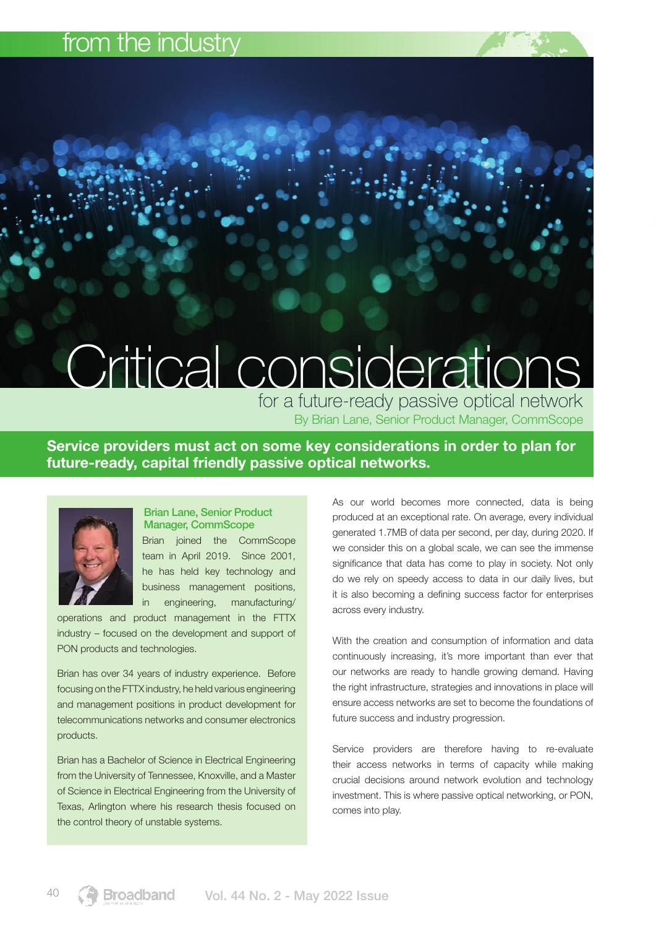## from the industry

# Critical considerations

By Brian Lane, Senior Product Manager, CommScope for a future-ready passive optical network

Service providers must act on some key considerations in order to plan for future-ready, capital friendly passive optical networks.



#### Brian Lane, Senior Product Manager, CommScope

Brian joined the CommScope team in April 2019. Since 2001, he has held key technology and business management positions, in engineering, manufacturing/

operations and product management in the FTTX industry – focused on the development and support of PON products and technologies.

Brian has over 34 years of industry experience. Before focusing on the FTTX industry, he held various engineering and management positions in product development for telecommunications networks and consumer electronics products.

Brian has a Bachelor of Science in Electrical Engineering from the University of Tennessee, Knoxville, and a Master of Science in Electrical Engineering from the University of Texas, Arlington where his research thesis focused on the control theory of unstable systems.

As our world becomes more connected, data is being produced at an exceptional rate. On average, every individual generated 1.7MB of data per second, per day, during 2020. If we consider this on a global scale, we can see the immense significance that data has come to play in society. Not only do we rely on speedy access to data in our daily lives, but it is also becoming a defining success factor for enterprises across every industry.

With the creation and consumption of information and data continuously increasing, it's more important than ever that our networks are ready to handle growing demand. Having the right infrastructure, strategies and innovations in place will ensure access networks are set to become the foundations of future success and industry progression.

Service providers are therefore having to re-evaluate their access networks in terms of capacity while making crucial decisions around network evolution and technology investment. This is where passive optical networking, or PON, comes into play.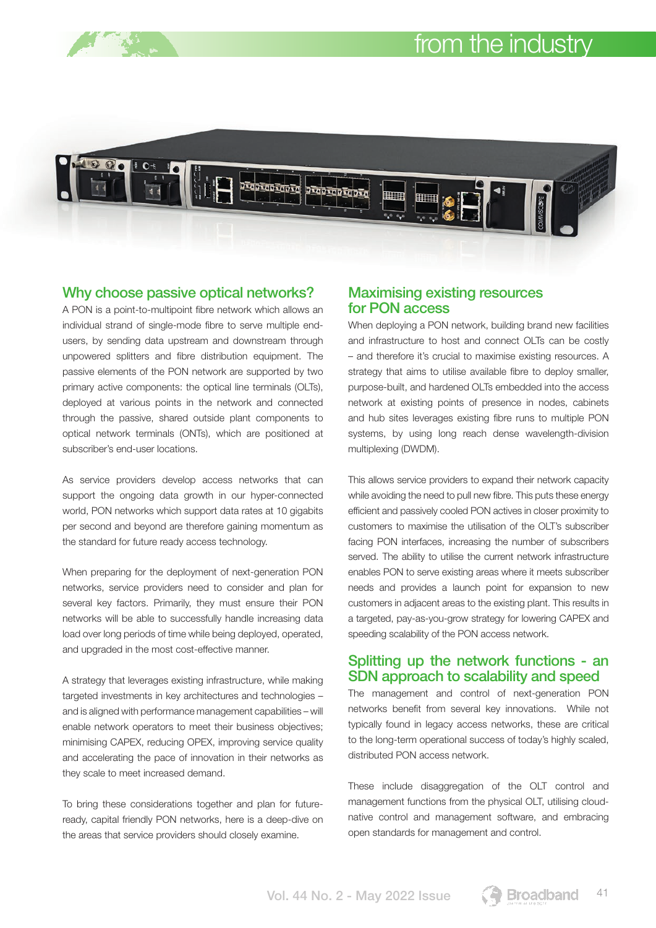

#### Why choose passive optical networks?

A PON is a point-to-multipoint fibre network which allows an individual strand of single-mode fibre to serve multiple endusers, by sending data upstream and downstream through unpowered splitters and fibre distribution equipment. The passive elements of the PON network are supported by two primary active components: the optical line terminals (OLTs), deployed at various points in the network and connected through the passive, shared outside plant components to optical network terminals (ONTs), which are positioned at subscriber's end-user locations.

As service providers develop access networks that can support the ongoing data growth in our hyper-connected world, PON networks which support data rates at 10 gigabits per second and beyond are therefore gaining momentum as the standard for future ready access technology.

When preparing for the deployment of next-generation PON networks, service providers need to consider and plan for several key factors. Primarily, they must ensure their PON networks will be able to successfully handle increasing data load over long periods of time while being deployed, operated, and upgraded in the most cost-effective manner.

A strategy that leverages existing infrastructure, while making targeted investments in key architectures and technologies – and is aligned with performance management capabilities – will enable network operators to meet their business objectives; minimising CAPEX, reducing OPEX, improving service quality and accelerating the pace of innovation in their networks as they scale to meet increased demand.

To bring these considerations together and plan for futureready, capital friendly PON networks, here is a deep-dive on the areas that service providers should closely examine.

#### Maximising existing resources for PON access

When deploying a PON network, building brand new facilities and infrastructure to host and connect OLTs can be costly – and therefore it's crucial to maximise existing resources. A strategy that aims to utilise available fibre to deploy smaller, purpose-built, and hardened OLTs embedded into the access network at existing points of presence in nodes, cabinets and hub sites leverages existing fibre runs to multiple PON systems, by using long reach dense wavelength-division multiplexing (DWDM).

This allows service providers to expand their network capacity while avoiding the need to pull new fibre. This puts these energy efficient and passively cooled PON actives in closer proximity to customers to maximise the utilisation of the OLT's subscriber facing PON interfaces, increasing the number of subscribers served. The ability to utilise the current network infrastructure enables PON to serve existing areas where it meets subscriber needs and provides a launch point for expansion to new customers in adjacent areas to the existing plant. This results in a targeted, pay-as-you-grow strategy for lowering CAPEX and speeding scalability of the PON access network.

#### Splitting up the network functions - an SDN approach to scalability and speed

The management and control of next-generation PON networks benefit from several key innovations. While not typically found in legacy access networks, these are critical to the long-term operational success of today's highly scaled, distributed PON access network.

These include disaggregation of the OLT control and management functions from the physical OLT, utilising cloudnative control and management software, and embracing open standards for management and control.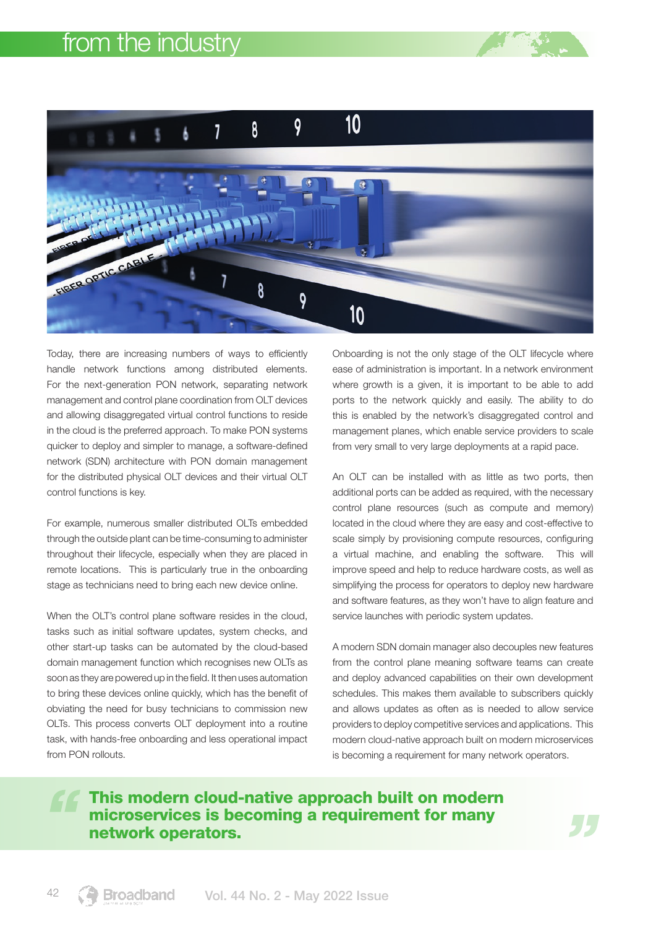

Today, there are increasing numbers of ways to efficiently handle network functions among distributed elements. For the next-generation PON network, separating network management and control plane coordination from OLT devices and allowing disaggregated virtual control functions to reside in the cloud is the preferred approach. To make PON systems quicker to deploy and simpler to manage, a software-defined network (SDN) architecture with PON domain management for the distributed physical OLT devices and their virtual OLT control functions is key.

For example, numerous smaller distributed OLTs embedded through the outside plant can be time-consuming to administer throughout their lifecycle, especially when they are placed in remote locations. This is particularly true in the onboarding stage as technicians need to bring each new device online.

When the OLT's control plane software resides in the cloud, tasks such as initial software updates, system checks, and other start-up tasks can be automated by the cloud-based domain management function which recognises new OLTs as soon as they are powered up in the field. It then uses automation to bring these devices online quickly, which has the benefit of obviating the need for busy technicians to commission new OLTs. This process converts OLT deployment into a routine task, with hands-free onboarding and less operational impact from PON rollouts.

Onboarding is not the only stage of the OLT lifecycle where ease of administration is important. In a network environment where growth is a given, it is important to be able to add ports to the network quickly and easily. The ability to do this is enabled by the network's disaggregated control and management planes, which enable service providers to scale from very small to very large deployments at a rapid pace.

An OLT can be installed with as little as two ports, then additional ports can be added as required, with the necessary control plane resources (such as compute and memory) located in the cloud where they are easy and cost-effective to scale simply by provisioning compute resources, configuring a virtual machine, and enabling the software. This will improve speed and help to reduce hardware costs, as well as simplifying the process for operators to deploy new hardware and software features, as they won't have to align feature and service launches with periodic system updates.

A modern SDN domain manager also decouples new features from the control plane meaning software teams can create and deploy advanced capabilities on their own development schedules. This makes them available to subscribers quickly and allows updates as often as is needed to allow service providers to deploy competitive services and applications. This modern cloud-native approach built on modern microservices is becoming a requirement for many network operators.

### This modern cloud-native approach built on modern microservices is becoming a requirement for many network operators.